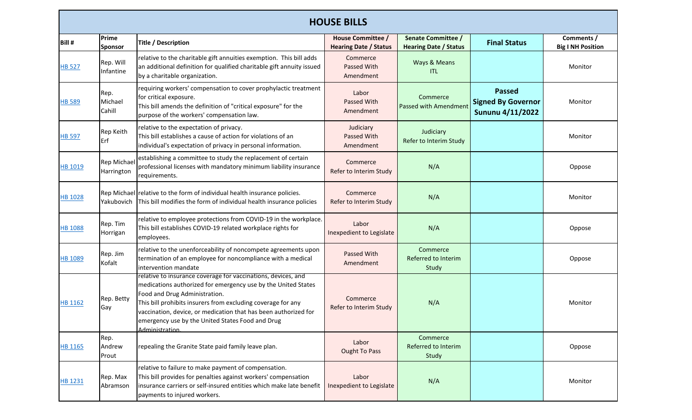|                | <b>HOUSE BILLS</b>               |                                                                                                                                                                                                                                                                                                                                                                           |                                                          |                                                           |                                                                       |                                        |  |  |
|----------------|----------------------------------|---------------------------------------------------------------------------------------------------------------------------------------------------------------------------------------------------------------------------------------------------------------------------------------------------------------------------------------------------------------------------|----------------------------------------------------------|-----------------------------------------------------------|-----------------------------------------------------------------------|----------------------------------------|--|--|
| Bill #         | Prime<br>Sponsor                 | <b>Title / Description</b>                                                                                                                                                                                                                                                                                                                                                | <b>House Committee /</b><br><b>Hearing Date / Status</b> | <b>Senate Committee /</b><br><b>Hearing Date / Status</b> | <b>Final Status</b>                                                   | Comments /<br><b>Big I NH Position</b> |  |  |
| <b>HB 527</b>  | Rep. Will<br>Infantine           | relative to the charitable gift annuities exemption. This bill adds<br>an additional definition for qualified charitable gift annuity issued<br>by a charitable organization.                                                                                                                                                                                             | Commerce<br>Passed With<br>Amendment                     | Ways & Means<br><b>ITL</b>                                |                                                                       | Monitor                                |  |  |
| <b>HB 589</b>  | Rep.<br>Michael<br>Cahill        | requiring workers' compensation to cover prophylactic treatment<br>for critical exposure.<br>This bill amends the definition of "critical exposure" for the<br>purpose of the workers' compensation law.                                                                                                                                                                  | Labor<br>Passed With<br>Amendment                        | Commerce<br><b>Passed with Amendment</b>                  | <b>Passed</b><br><b>Signed By Governor</b><br><b>Sununu 4/11/2022</b> | Monitor                                |  |  |
| <b>HB 597</b>  | Rep Keith<br>Erf                 | relative to the expectation of privacy.<br>This bill establishes a cause of action for violations of an<br>individual's expectation of privacy in personal information.                                                                                                                                                                                                   | Judiciary<br>Passed With<br>Amendment                    | Judiciary<br>Refer to Interim Study                       |                                                                       | Monitor                                |  |  |
| HB 1019        | <b>Rep Michael</b><br>Harrington | establishing a committee to study the replacement of certain<br>professional licenses with mandatory minimum liability insurance<br>requirements.                                                                                                                                                                                                                         | Commerce<br>Refer to Interim Study                       | N/A                                                       |                                                                       | Oppose                                 |  |  |
| <b>HB 1028</b> | Yakubovich                       | Rep Michael relative to the form of individual health insurance policies.<br>This bill modifies the form of individual health insurance policies                                                                                                                                                                                                                          | Commerce<br>Refer to Interim Study                       | N/A                                                       |                                                                       | Monitor                                |  |  |
| <b>HB 1088</b> | Rep. Tim<br>Horrigan             | relative to employee protections from COVID-19 in the workplace.<br>This bill establishes COVID-19 related workplace rights for<br>employees.                                                                                                                                                                                                                             | Labor<br>Inexpedient to Legislate                        | N/A                                                       |                                                                       | Oppose                                 |  |  |
| <b>HB 1089</b> | Rep. Jim<br>Kofalt               | relative to the unenforceability of noncompete agreements upon<br>termination of an employee for noncompliance with a medical<br>intervention mandate                                                                                                                                                                                                                     | Passed With<br>Amendment                                 | Commerce<br>Referred to Interim<br>Study                  |                                                                       | Oppose                                 |  |  |
| HB 1162        | Rep. Betty<br>Gay                | relative to insurance coverage for vaccinations, devices, and<br>medications authorized for emergency use by the United States<br>Food and Drug Administration.<br>This bill prohibits insurers from excluding coverage for any<br>vaccination, device, or medication that has been authorized for<br>emergency use by the United States Food and Drug<br>Administration. | Commerce<br>Refer to Interim Study                       | N/A                                                       |                                                                       | Monitor                                |  |  |
| HB 1165        | Rep.<br>Andrew<br>Prout          | repealing the Granite State paid family leave plan.                                                                                                                                                                                                                                                                                                                       | Labor<br><b>Ought To Pass</b>                            | Commerce<br>Referred to Interim<br>Study                  |                                                                       | Oppose                                 |  |  |
| HB 1231        | Rep. Max<br>Abramson             | relative to failure to make payment of compensation.<br>This bill provides for penalties against workers' compensation<br>Insurance carriers or self-insured entities which make late benefit<br>payments to injured workers.                                                                                                                                             | Labor<br>Inexpedient to Legislate                        | N/A                                                       |                                                                       | Monitor                                |  |  |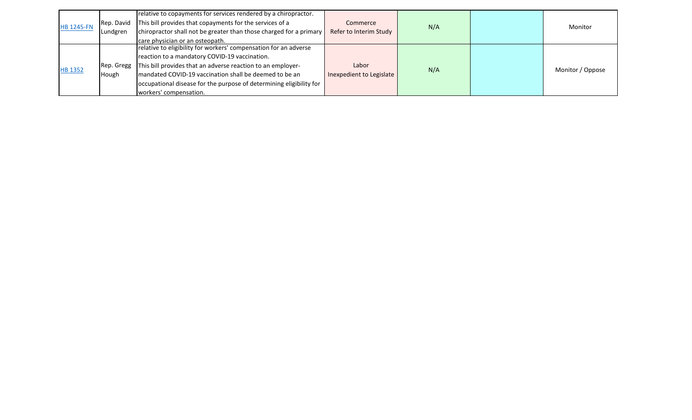| <b>HB 1245-FN</b> | Rep. David<br>Lundgren | relative to copayments for services rendered by a chiropractor.<br>This bill provides that copayments for the services of a<br>chiropractor shall not be greater than those charged for a primary<br>care physician or an osteopath.                                                                                                        | Commerce<br>Refer to Interim Study | N/A | Monitor          |
|-------------------|------------------------|---------------------------------------------------------------------------------------------------------------------------------------------------------------------------------------------------------------------------------------------------------------------------------------------------------------------------------------------|------------------------------------|-----|------------------|
| <b>HB 1352</b>    | Rep. Gregg<br>Hough    | relative to eligibility for workers' compensation for an adverse<br>reaction to a mandatory COVID-19 vaccination.<br>This bill provides that an adverse reaction to an employer-<br>mandated COVID-19 vaccination shall be deemed to be an<br>occupational disease for the purpose of determining eligibility for<br>workers' compensation. | Labor<br>Inexpedient to Legislate  | N/A | Monitor / Oppose |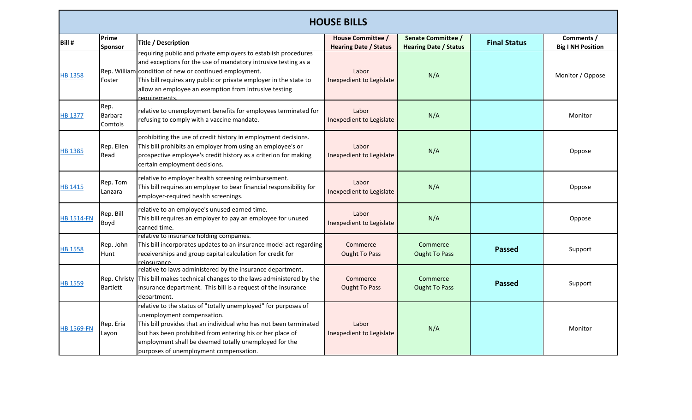|                   | <b>HOUSE BILLS</b>                |                                                                                                                                                                                                                                                                                                                                           |                                                          |                                                    |                     |                                        |  |
|-------------------|-----------------------------------|-------------------------------------------------------------------------------------------------------------------------------------------------------------------------------------------------------------------------------------------------------------------------------------------------------------------------------------------|----------------------------------------------------------|----------------------------------------------------|---------------------|----------------------------------------|--|
| Bill #            | Prime<br><b>Sponsor</b>           | Title / Description                                                                                                                                                                                                                                                                                                                       | <b>House Committee /</b><br><b>Hearing Date / Status</b> | Senate Committee /<br><b>Hearing Date / Status</b> | <b>Final Status</b> | Comments /<br><b>Big I NH Position</b> |  |
| <b>HB 1358</b>    | Foster                            | requiring public and private employers to establish procedures<br>and exceptions for the use of mandatory intrusive testing as a<br>Rep. William condition of new or continued employment.<br>This bill requires any public or private employer in the state to<br>allow an employee an exemption from intrusive testing<br>requirements. | Labor<br>Inexpedient to Legislate                        | N/A                                                |                     | Monitor / Oppose                       |  |
| HB 1377           | Rep.<br><b>Barbara</b><br>Comtois | relative to unemployment benefits for employees terminated for<br>refusing to comply with a vaccine mandate.                                                                                                                                                                                                                              | Labor<br>Inexpedient to Legislate                        | N/A                                                |                     | Monitor                                |  |
| HB 1385           | Rep. Ellen<br>Read                | prohibiting the use of credit history in employment decisions.<br>This bill prohibits an employer from using an employee's or<br>prospective employee's credit history as a criterion for making<br>certain employment decisions.                                                                                                         | Labor<br>Inexpedient to Legislate                        | N/A                                                |                     | Oppose                                 |  |
| HB 1415           | Rep. Tom<br>Lanzara               | relative to employer health screening reimbursement.<br>This bill requires an employer to bear financial responsibility for<br>employer-required health screenings.                                                                                                                                                                       | Labor<br>Inexpedient to Legislate                        | N/A                                                |                     | Oppose                                 |  |
| <b>HB 1514-FN</b> | Rep. Bill<br>Boyd                 | relative to an employee's unused earned time.<br>This bill requires an employer to pay an employee for unused<br>earned time.                                                                                                                                                                                                             | Labor<br>Inexpedient to Legislate                        | N/A                                                |                     | Oppose                                 |  |
| <b>HB 1558</b>    | Rep. John<br>Hunt                 | relative to insurance holding companies.<br>This bill incorporates updates to an insurance model act regarding<br>receiverships and group capital calculation for credit for<br><u>reinsurance</u>                                                                                                                                        | Commerce<br><b>Ought To Pass</b>                         | Commerce<br><b>Ought To Pass</b>                   | <b>Passed</b>       | Support                                |  |
| HB 1559           | Rep. Christy<br><b>Bartlett</b>   | relative to laws administered by the insurance department.<br>This bill makes technical changes to the laws administered by the<br>insurance department. This bill is a request of the insurance<br>department.                                                                                                                           | Commerce<br><b>Ought To Pass</b>                         | Commerce<br><b>Ought To Pass</b>                   | <b>Passed</b>       | Support                                |  |
| <b>HB 1569-FN</b> | Rep. Eria<br>Layon                | relative to the status of "totally unemployed" for purposes of<br>unemployment compensation.<br>This bill provides that an individual who has not been terminated<br>but has been prohibited from entering his or her place of<br>employment shall be deemed totally unemployed for the<br>purposes of unemployment compensation.         | Labor<br>Inexpedient to Legislate                        | N/A                                                |                     | Monitor                                |  |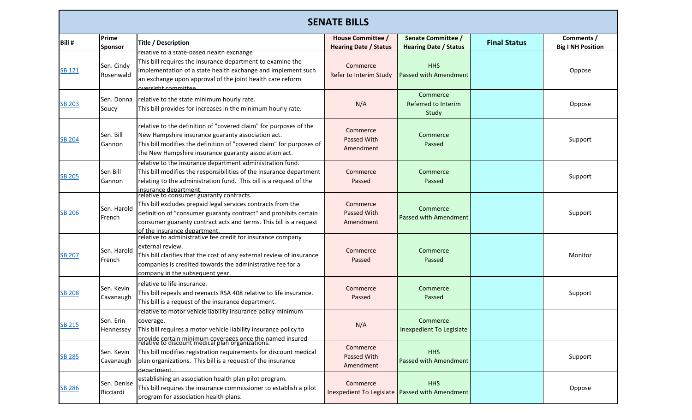| <b>SENATE BILLS</b> |                          |                                                                                                                                                                                                                                                                                   |                                                   |                                                                |                     |                                        |  |
|---------------------|--------------------------|-----------------------------------------------------------------------------------------------------------------------------------------------------------------------------------------------------------------------------------------------------------------------------------|---------------------------------------------------|----------------------------------------------------------------|---------------------|----------------------------------------|--|
| Bill #              | Prime<br><b>Sponsor</b>  | <b>Title / Description</b>                                                                                                                                                                                                                                                        | House Committee /<br><b>Hearing Date / Status</b> | <b>Senate Committee /</b><br><b>Hearing Date / Status</b>      | <b>Final Status</b> | Comments /<br><b>Big I NH Position</b> |  |
| <b>SB 121</b>       | Sen. Cindy<br>Rosenwald  | relative to a state-based nealth exchange<br>This bill requires the insurance department to examine the<br>implementation of a state health exchange and implement such<br>an exchange upon approval of the joint health care reform<br>oversight committee                       | Commerce<br>Refer to Interim Study                | <b>HHS</b><br><b>Passed with Amendment</b>                     |                     | Oppose                                 |  |
| <b>SB 203</b>       | Sen. Donna<br>Soucy      | relative to the state minimum hourly rate.<br>This bill provides for increases in the minimum hourly rate.                                                                                                                                                                        | N/A                                               | Commerce<br>Referred to Interim<br>Study                       |                     | Oppose                                 |  |
| <b>SB 204</b>       | Sen. Bill<br>Gannon      | relative to the definition of "covered claim" for purposes of the<br>New Hampshire insurance guaranty association act.<br>This bill modifies the definition of "covered claim" for purposes of<br>the New Hampshire insurance guaranty association act.                           | Commerce<br>Passed With<br>Amendment              | Commerce<br>Passed                                             |                     | Support                                |  |
| <b>SB 205</b>       | Sen Bill<br>Gannon       | relative to the insurance department administration fund.<br>This bill modifies the responsibilities of the insurance department<br>relating to the administration fund. This bill is a request of the<br>insurance department.                                                   | Commerce<br>Passed                                | Commerce<br>Passed                                             |                     | Support                                |  |
| <b>SB 206</b>       | Sen. Harold<br>French    | relative to consumer guaranty contracts.<br>This bill excludes prepaid legal services contracts from the<br>definition of "consumer guaranty contract" and prohibits certain<br>consumer guaranty contract acts and terms. This bill is a request<br>of the insurance department. | Commerce<br>Passed With<br>Amendment              | Commerce<br><b>Passed with Amendment</b>                       |                     | Support                                |  |
| <b>SB 207</b>       | Sen. Harold<br>French    | relative to administrative fee credit for insurance company<br>external review.<br>This bill clarifies that the cost of any external review of insurance<br>companies is credited towards the administrative fee for a<br>company in the subsequent year.                         | Commerce<br>Passed                                | Commerce<br>Passed                                             |                     | Monitor                                |  |
| <b>SB 208</b>       | Sen. Kevin<br>Cavanaugh  | relative to life insurance.<br>This bill repeals and reenacts RSA 408 relative to life insurance.<br>This bill is a request of the insurance department.                                                                                                                          | Commerce<br>Passed                                | Commerce<br>Passed                                             |                     | Support                                |  |
| <b>SB 215</b>       | Sen. Erin<br>Hennessey   | relative to motor vehicle liability insurance policy minimum<br>coverage.<br>This bill requires a motor vehicle liability insurance policy to<br>provide certain minimum coverages once the named insured<br>relative to discount medical plan organizations.                     | N/A                                               | Commerce<br>Inexpedient To Legislate                           |                     |                                        |  |
| <b>SB 285</b>       | Sen. Kevin<br>Cavanaugh  | This bill modifies registration requirements for discount medical<br>plan organizations. This bill is a request of the insurance<br>denartment                                                                                                                                    | Commerce<br>Passed With<br>Amendment              | <b>HHS</b><br>Passed with Amendment                            |                     | Support                                |  |
| <b>SB 286</b>       | Sen. Denise<br>Ricciardi | establishing an association health plan pilot program.<br>This bill requires the insurance commissioner to establish a pilot                                                                                                                                                      | Commerce                                          | <b>HHS</b><br>Inexpedient To Legislate   Passed with Amendment |                     | Oppose                                 |  |

program for association health plans.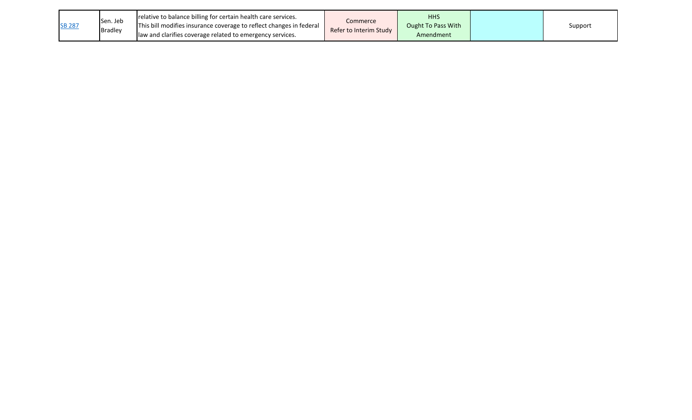| <b>SB 287</b> | Sen. Jeb<br><b>Bradley</b> | relative to balance billing for certain health care services.<br>This bill modifies insurance coverage to reflect changes in federal<br>llaw and clarifies coverage related to emergency services. | Commerce<br>Refer to Interim Study | <b>HHS</b><br>Ought To Pass With<br>Amendment |  | Support |
|---------------|----------------------------|----------------------------------------------------------------------------------------------------------------------------------------------------------------------------------------------------|------------------------------------|-----------------------------------------------|--|---------|
|---------------|----------------------------|----------------------------------------------------------------------------------------------------------------------------------------------------------------------------------------------------|------------------------------------|-----------------------------------------------|--|---------|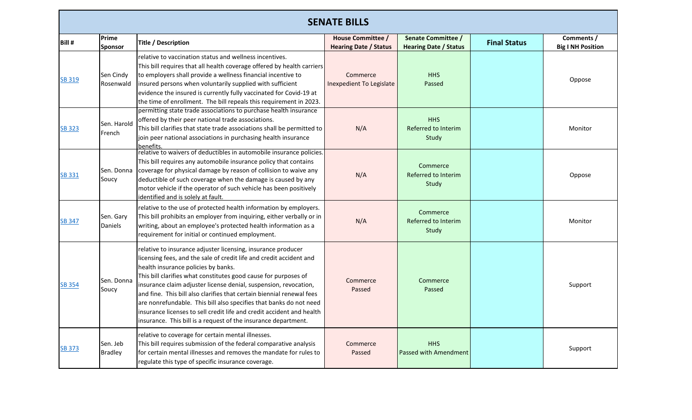|               | <b>SENATE BILLS</b>        |                                                                                                                                                                                                                                                                                                                                                                                                                                                                                                                                                                                                             |                                                   |                                                           |                     |                                        |  |
|---------------|----------------------------|-------------------------------------------------------------------------------------------------------------------------------------------------------------------------------------------------------------------------------------------------------------------------------------------------------------------------------------------------------------------------------------------------------------------------------------------------------------------------------------------------------------------------------------------------------------------------------------------------------------|---------------------------------------------------|-----------------------------------------------------------|---------------------|----------------------------------------|--|
| Bill #        | Prime<br><b>Sponsor</b>    | <b>Title / Description</b>                                                                                                                                                                                                                                                                                                                                                                                                                                                                                                                                                                                  | House Committee /<br><b>Hearing Date / Status</b> | <b>Senate Committee /</b><br><b>Hearing Date / Status</b> | <b>Final Status</b> | Comments /<br><b>Big I NH Position</b> |  |
| SB 319        | Sen Cindy<br>Rosenwald     | relative to vaccination status and wellness incentives.<br>This bill requires that all health coverage offered by health carriers<br>to employers shall provide a wellness financial incentive to<br>insured persons when voluntarily supplied with sufficient<br>evidence the insured is currently fully vaccinated for Covid-19 at<br>the time of enrollment. The bill repeals this requirement in 2023.                                                                                                                                                                                                  | Commerce<br>Inexpedient To Legislate              | <b>HHS</b><br>Passed                                      |                     | Oppose                                 |  |
| SB 323        | Sen. Harold<br>French      | permitting state trade associations to purchase health insurance<br>offered by their peer national trade associations.<br>This bill clarifies that state trade associations shall be permitted to<br>join peer national associations in purchasing health insurance<br>benefits.                                                                                                                                                                                                                                                                                                                            | N/A                                               | <b>HHS</b><br>Referred to Interim<br>Study                |                     | Monitor                                |  |
| SB 331        | Sen. Donna<br>Soucy        | relative to waivers of deductibles in automobile insurance policies.<br>This bill requires any automobile insurance policy that contains<br>coverage for physical damage by reason of collision to waive any<br>deductible of such coverage when the damage is caused by any<br>motor vehicle if the operator of such vehicle has been positively<br>identified and is solely at fault.                                                                                                                                                                                                                     | N/A                                               | Commerce<br>Referred to Interim<br>Study                  |                     | Oppose                                 |  |
| <b>SB 347</b> | Sen. Gary<br>Daniels       | relative to the use of protected health information by employers.<br>This bill prohibits an employer from inquiring, either verbally or in<br>writing, about an employee's protected health information as a<br>requirement for initial or continued employment.                                                                                                                                                                                                                                                                                                                                            | N/A                                               | Commerce<br>Referred to Interim<br>Study                  |                     | Monitor                                |  |
| <b>SB 354</b> | Sen. Donna<br>Soucy        | relative to insurance adjuster licensing, insurance producer<br>licensing fees, and the sale of credit life and credit accident and<br>health insurance policies by banks.<br>This bill clarifies what constitutes good cause for purposes of<br>insurance claim adjuster license denial, suspension, revocation,<br>and fine. This bill also clarifies that certain biennial renewal fees<br>are nonrefundable. This bill also specifies that banks do not need<br>insurance licenses to sell credit life and credit accident and health<br>insurance. This bill is a request of the insurance department. | Commerce<br>Passed                                | Commerce<br>Passed                                        |                     | Support                                |  |
| <b>SB 373</b> | Sen. Jeb<br><b>Bradley</b> | relative to coverage for certain mental illnesses.<br>This bill requires submission of the federal comparative analysis<br>for certain mental illnesses and removes the mandate for rules to<br>regulate this type of specific insurance coverage.                                                                                                                                                                                                                                                                                                                                                          | Commerce<br>Passed                                | <b>HHS</b><br><b>Passed with Amendment</b>                |                     | Support                                |  |